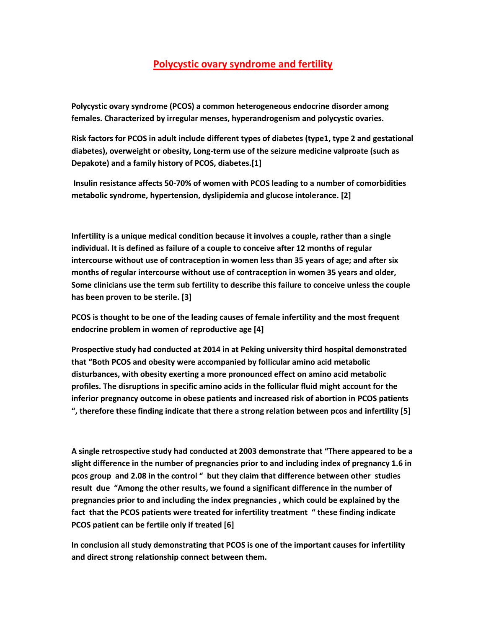## **Polycystic ovary syndrome and fertility**

**Polycystic ovary syndrome (PCOS) a common heterogeneous endocrine disorder among females. Characterized by irregular menses, hyperandrogenism and polycystic ovaries.**

**Risk factors for PCOS in adult include different types of diabetes (type1, type 2 and gestational diabetes), overweight or obesity, Long-term use of the seizure medicine valproate (such as Depakote) and a family history of PCOS, diabetes.[1]** 

**Insulin resistance affects 50-70% of women with PCOS leading to a number of comorbidities metabolic syndrome, hypertension, dyslipidemia and glucose intolerance. [2]**

**Infertility is a unique medical condition because it involves a couple, rather than a single individual. It is defined as failure of a couple to conceive after 12 months of regular intercourse without use of contraception in women less than 35 years of age; and after six months of regular intercourse without use of contraception in women 35 years and older, Some clinicians use the term sub fertility to describe this failure to conceive unless the couple has been proven to be sterile. [3]**

**PCOS is thought to be one of the leading causes of female infertility and the most frequent endocrine problem in women of reproductive age [4]**

**Prospective study had conducted at 2014 in at Peking university third hospital demonstrated that "Both PCOS and obesity were accompanied by follicular amino acid metabolic disturbances, with obesity exerting a more pronounced effect on amino acid metabolic profiles. The disruptions in specific amino acids in the follicular fluid might account for the inferior pregnancy outcome in obese patients and increased risk of abortion in PCOS patients ", therefore these finding indicate that there a strong relation between pcos and infertility [5]**

**A single retrospective study had conducted at 2003 demonstrate that "There appeared to be a slight difference in the number of pregnancies prior to and including index of pregnancy 1.6 in pcos group and 2.08 in the control " but they claim that difference between other studies result due "Among the other results, we found a significant difference in the number of pregnancies prior to and including the index pregnancies , which could be explained by the fact that the PCOS patients were treated for infertility treatment " these finding indicate PCOS patient can be fertile only if treated [6]**

**In conclusion all study demonstrating that PCOS is one of the important causes for infertility and direct strong relationship connect between them.**